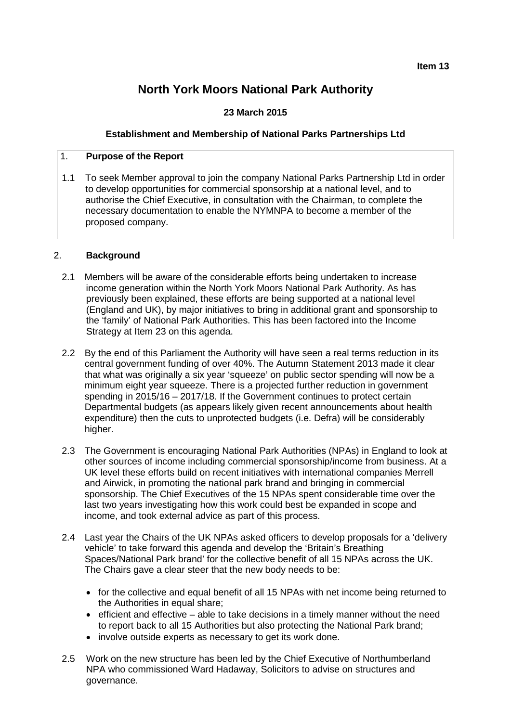# **North York Moors National Park Authority**

## **23 March 2015**

## **Establishment and Membership of National Parks Partnerships Ltd**

### 1. **Purpose of the Report**

1.1 To seek Member approval to join the company National Parks Partnership Ltd in order to develop opportunities for commercial sponsorship at a national level, and to authorise the Chief Executive, in consultation with the Chairman, to complete the necessary documentation to enable the NYMNPA to become a member of the proposed company.

## 2. **Background**

- 2.1 Members will be aware of the considerable efforts being undertaken to increase income generation within the North York Moors National Park Authority. As has previously been explained, these efforts are being supported at a national level (England and UK), by major initiatives to bring in additional grant and sponsorship to the 'family' of National Park Authorities. This has been factored into the Income Strategy at Item 23 on this agenda.
- 2.2 By the end of this Parliament the Authority will have seen a real terms reduction in its central government funding of over 40%. The Autumn Statement 2013 made it clear that what was originally a six year 'squeeze' on public sector spending will now be a minimum eight year squeeze. There is a projected further reduction in government spending in 2015/16 – 2017/18. If the Government continues to protect certain Departmental budgets (as appears likely given recent announcements about health expenditure) then the cuts to unprotected budgets (i.e. Defra) will be considerably higher.
- 2.3 The Government is encouraging National Park Authorities (NPAs) in England to look at other sources of income including commercial sponsorship/income from business. At a UK level these efforts build on recent initiatives with international companies Merrell and Airwick, in promoting the national park brand and bringing in commercial sponsorship. The Chief Executives of the 15 NPAs spent considerable time over the last two years investigating how this work could best be expanded in scope and income, and took external advice as part of this process.
- 2.4 Last year the Chairs of the UK NPAs asked officers to develop proposals for a 'delivery vehicle' to take forward this agenda and develop the 'Britain's Breathing Spaces/National Park brand' for the collective benefit of all 15 NPAs across the UK. The Chairs gave a clear steer that the new body needs to be:
	- for the collective and equal benefit of all 15 NPAs with net income being returned to the Authorities in equal share:
	- efficient and effective able to take decisions in a timely manner without the need to report back to all 15 Authorities but also protecting the National Park brand;
	- involve outside experts as necessary to get its work done.
- 2.5 Work on the new structure has been led by the Chief Executive of Northumberland NPA who commissioned Ward Hadaway, Solicitors to advise on structures and governance.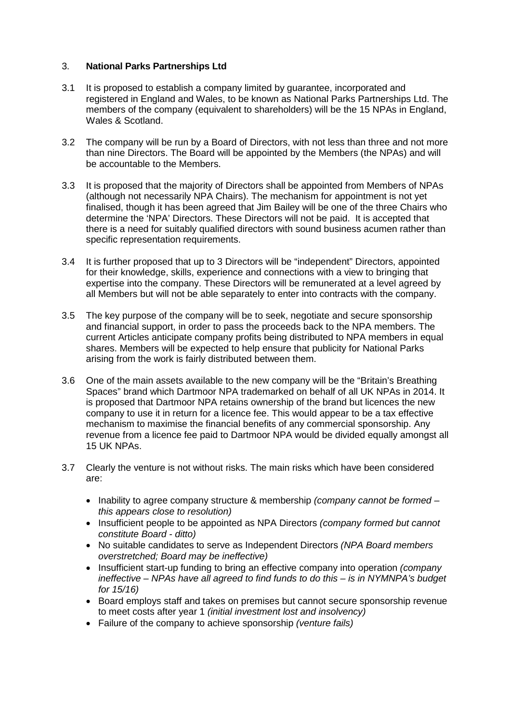#### 3. **National Parks Partnerships Ltd**

- 3.1 It is proposed to establish a company limited by guarantee, incorporated and registered in England and Wales, to be known as National Parks Partnerships Ltd. The members of the company (equivalent to shareholders) will be the 15 NPAs in England, Wales & Scotland.
- 3.2 The company will be run by a Board of Directors, with not less than three and not more than nine Directors. The Board will be appointed by the Members (the NPAs) and will be accountable to the Members.
- 3.3 It is proposed that the majority of Directors shall be appointed from Members of NPAs (although not necessarily NPA Chairs). The mechanism for appointment is not yet finalised, though it has been agreed that Jim Bailey will be one of the three Chairs who determine the 'NPA' Directors. These Directors will not be paid. It is accepted that there is a need for suitably qualified directors with sound business acumen rather than specific representation requirements.
- 3.4 It is further proposed that up to 3 Directors will be "independent" Directors, appointed for their knowledge, skills, experience and connections with a view to bringing that expertise into the company. These Directors will be remunerated at a level agreed by all Members but will not be able separately to enter into contracts with the company.
- 3.5 The key purpose of the company will be to seek, negotiate and secure sponsorship and financial support, in order to pass the proceeds back to the NPA members. The current Articles anticipate company profits being distributed to NPA members in equal shares. Members will be expected to help ensure that publicity for National Parks arising from the work is fairly distributed between them.
- 3.6 One of the main assets available to the new company will be the "Britain's Breathing Spaces" brand which Dartmoor NPA trademarked on behalf of all UK NPAs in 2014. It is proposed that Dartmoor NPA retains ownership of the brand but licences the new company to use it in return for a licence fee. This would appear to be a tax effective mechanism to maximise the financial benefits of any commercial sponsorship. Any revenue from a licence fee paid to Dartmoor NPA would be divided equally amongst all 15 UK NPAs.
- 3.7 Clearly the venture is not without risks. The main risks which have been considered are:
	- Inability to agree company structure & membership *(company cannot be formed – this appears close to resolution)*
	- Insufficient people to be appointed as NPA Directors *(company formed but cannot constitute Board - ditto)*
	- No suitable candidates to serve as Independent Directors *(NPA Board members overstretched; Board may be ineffective)*
	- Insufficient start-up funding to bring an effective company into operation *(company ineffective – NPAs have all agreed to find funds to do this – is in NYMNPA's budget for 15/16)*
	- Board employs staff and takes on premises but cannot secure sponsorship revenue to meet costs after year 1 *(initial investment lost and insolvency)*
	- Failure of the company to achieve sponsorship *(venture fails)*